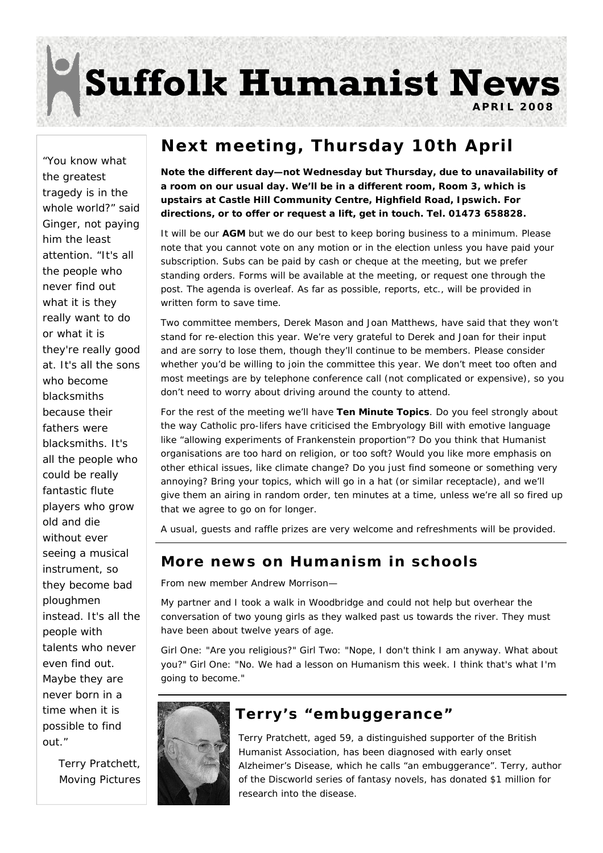# **Suffolk Humanist News**

**APRIL 2008** 

"You know what the greatest tragedy is in the whole world?" said Ginger, not paying him the least attention. "It's all the people who never find out what it is they really want to do or what it is they're really good at. It's all the sons who become blacksmiths because their fathers were blacksmiths. It's all the people who could be really fantastic flute players who grow old and die without ever seeing a musical instrument, so they become bad ploughmen instead. It's all the people with talents who never even find out. Maybe they are never born in a time when it is possible to find out."

> *Terry Pratchett, Moving Pictures*

### **Next meeting, Thursday 10th April**

**Note the different day—not Wednesday but Thursday, due to unavailability of a room on our usual day. We'll be in a different room, Room 3, which is upstairs at Castle Hill Community Centre, Highfield Road, Ipswich. For directions, or to offer or request a lift, get in touch. Tel. 01473 658828.** 

It will be our **AGM** but we do our best to keep boring business to a minimum. Please note that you cannot vote on any motion or in the election unless you have paid your subscription. Subs can be paid by cash or cheque at the meeting, but we prefer standing orders. Forms will be available at the meeting, or request one through the post. The agenda is overleaf. As far as possible, reports, etc., will be provided in written form to save time.

Two committee members, Derek Mason and Joan Matthews, have said that they won't stand for re-election this year. We're very grateful to Derek and Joan for their input and are sorry to lose them, though they'll continue to be members. Please consider whether you'd be willing to join the committee this year. We don't meet too often and most meetings are by telephone conference call (not complicated or expensive), so you don't need to worry about driving around the county to attend.

For the rest of the meeting we'll have **Ten Minute Topics**. Do you feel strongly about the way Catholic pro-lifers have criticised the Embryology Bill with emotive language like "allowing experiments of Frankenstein proportion"? Do you think that Humanist organisations are too hard on religion, or too soft? Would you like more emphasis on other ethical issues, like climate change? Do you just find someone or something very annoying? Bring your topics, which will go in a hat (or similar receptacle), and we'll give them an airing in random order, ten minutes at a time, unless we're all so fired up that we agree to go on for longer.

A usual, guests and raffle prizes are very welcome and refreshments will be provided.

#### **More news on Humanism in schools**

From new member Andrew Morrison—

My partner and I took a walk in Woodbridge and could not help but overhear the conversation of two young girls as they walked past us towards the river. They must have been about twelve years of age.

Girl One: "Are you religious?" Girl Two: "Nope, I don't think I am anyway. What about you?" Girl One: "No. We had a lesson on Humanism this week. I think that's what I'm going to become."



#### **Terry's "embuggerance"**

Terry Pratchett, aged 59, a distinguished supporter of the British Humanist Association, has been diagnosed with early onset Alzheimer's Disease, which he calls "an embuggerance". Terry, author of the Discworld series of fantasy novels, has donated \$1 million for research into the disease.